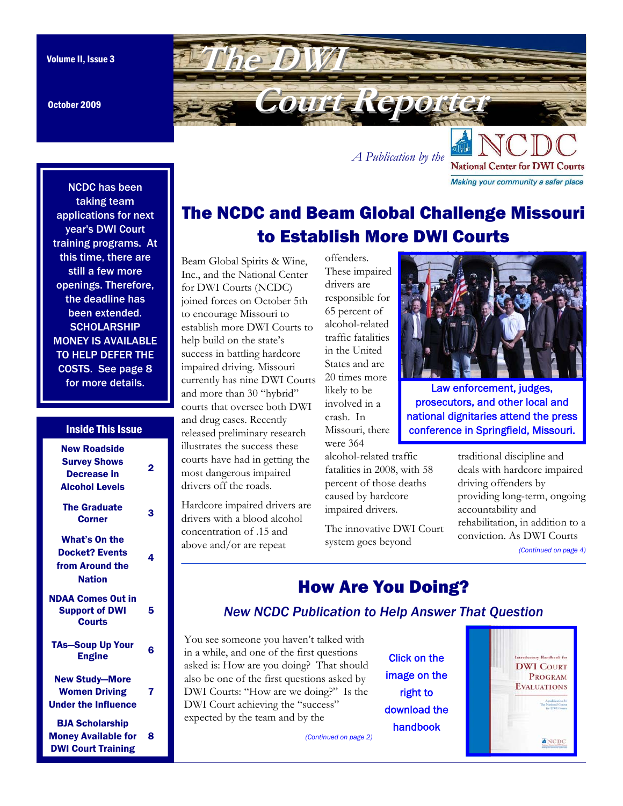October 2009

<span id="page-0-0"></span>

*A Publication by the* 

**National Center for DWI Courts** Making your community a safer place

NCDC has been taking team applications for next year's DWI Court training programs. At this time, there are still a few more openings. Therefore, the deadline has been extended. **SCHOLARSHIP** MONEY IS AVAILABLE TO HELP DEFER THE COSTS. See page 8 for more details.

#### Inside This Issue

| <b>New Roadside</b><br><b>Survey Shows</b><br>Decrease in<br><b>Alcohol Levels</b> | 2 |
|------------------------------------------------------------------------------------|---|
| <b>The Graduate</b><br><b>Corner</b>                                               | 3 |
| What's On the<br><b>Docket? Events</b><br>from Around the<br><b>Nation</b>         | 4 |
| <b>NDAA Comes Out in</b><br><b>Support of DWI</b><br><b>Courts</b>                 | 5 |
| <b>TAs-Soup Up Your</b><br><b>Engine</b>                                           | 6 |
| <b>New Study-More</b><br><b>Women Driving</b><br><b>Under the Influence</b>        | 7 |
| <b>BJA Scholarship</b><br><b>Money Available for</b><br><b>DWI Court Training</b>  | 8 |

# The NCDC and Beam Global Challenge Missouri to Establish More DWI Courts

Beam Global Spirits & Wine, Inc., and the National Center for DWI Courts (NCDC) joined forces on October 5th to encourage Missouri to establish more DWI Courts to help build on the state's success in battling hardcore impaired driving. Missouri currently has nine DWI Courts and more than 30 "hybrid" courts that oversee both DWI and drug cases. Recently released preliminary research illustrates the success these courts have had in getting the most dangerous impaired drivers off the roads.

Hardcore impaired drivers are drivers with a blood alcohol concentration of .15 and above and/or are repeat

offenders. These impaired drivers are responsible for 65 percent of alcohol-related traffic fatalities in the United States and are 20 times more likely to be involved in a crash. In Missouri, there were 364

Law enforcement, judges, prosecutors, and other local and national dignitaries attend the press conference in Springfield, Missouri.

alcohol-related traffic fatalities in 2008, with 58 percent of those deaths caused by hardcore impaired drivers.

The innovative DWI Court system goes beyond

traditional discipline and deals with hardcore impaired driving offenders by providing long-term, ongoing accountability and rehabilitation, in addition to a conviction. As DWI Courts *[\(Continued on page 4\)](#page-3-0)* 

# How Are You Doing?

## *New NCDC Publication to Help Answer That Question*

*[\(Continued on page 2\)](#page-1-0)* 

You see someone you haven't talked with in a while, and one of the first questions asked is: How are you doing? That should also be one of the first questions asked by DWI Courts: "How are we doing?" Is the DWI Court achieving the "success" expected by the team and by the

Click on the image on the right to download the handbook

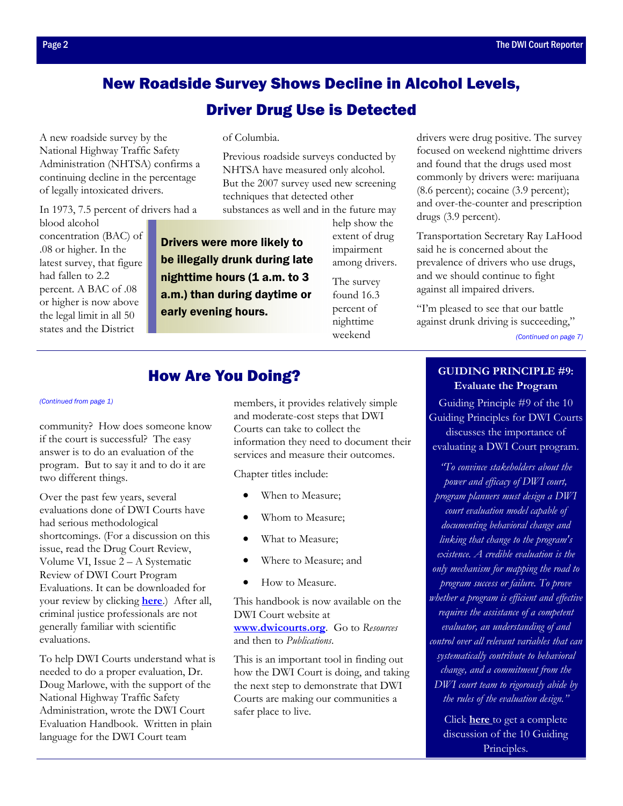# <span id="page-1-0"></span>New Roadside Survey Shows Decline in Alcohol Levels,

# Driver Drug Use is Detected

A new roadside survey by the National Highway Traffic Safety Administration (NHTSA) confirms a continuing decline in the percentage of legally intoxicated drivers.

In 1973, 7.5 percent of drivers had a

blood alcohol concentration (BAC) of .08 or higher. In the latest survey, that figure had fallen to 2.2 percent. A BAC of .08 or higher is now above the legal limit in all 50 states and the District

of Columbia.

Previous roadside surveys conducted by NHTSA have measured only alcohol. But the 2007 survey used new screening techniques that detected other substances as well and in the future may

help show the extent of drug impairment among drivers.

The survey found 16.3 percent of nighttime weekend

drivers were drug positive. The survey focused on weekend nighttime drivers and found that the drugs used most commonly by drivers were: marijuana (8.6 percent); cocaine (3.9 percent); and over-the-counter and prescription drugs (3.9 percent).

Transportation Secretary Ray LaHood said he is concerned about the prevalence of drivers who use drugs, and we should continue to fight against all impaired drivers.

"I'm pleased to see that our battle against drunk driving is succeeding,"

*[\(Continued on page 7\)](#page-6-0)* 

# How Are You Doing?

early evening hours.

Drivers were more likely to be illegally drunk during late nighttime hours (1 a.m. to 3 a.m.) than during daytime or

community? How does someone know if the court is successful? The easy answer is to do an evaluation of the program. But to say it and to do it are two different things.

Over the past few years, several evaluations done of DWI Courts have had serious methodological shortcomings. (For a discussion on this issue, read the Drug Court Review, Volume VI, Issue 2 – A Systematic Review of DWI Court Program Evaluations. It can be downloaded for your review by clicking **here**.) After all, criminal justice profe[ssionals ar](http://www.ndci.org/sites/default/files/ncdc/DCR%2C%20Vol.%206%2C%20No.%202.pdf)e not generally familiar with scientific evaluations.

To help DWI Courts understand what is needed to do a proper evaluation, Dr. Doug Marlowe, with the support of the National Highway Traffic Safety Administration, wrote the DWI Court Evaluation Handbook. Written in plain language for the DWI Court team

*[\(Continued from page 1\)](#page-0-0)* members, it provides relatively simple and moderate-cost steps that DWI Courts can take to collect the information they need to document their services and measure their outcomes.

Chapter titles include:

- When to Measure;
- Whom to Measure;
- What to Measure;
- Where to Measure; and
- How to Measure.

This handbook is now available on the DWI Court website at **www.dwicourts.org**. Go to *Resources* and then to *Publications*.

This is an important tool in finding out how the DWI Court is doing, and taking the next step to demonstrate that DWI Courts are making our communities a safer place to live.

#### **GUIDING PRINCIPLE #9: Evaluate the Program**

Guiding Principle #9 of the 10 Guiding Principles for DWI Courts discusses the importance of evaluating a DWI Court program.

*"To convince stakeholders about the power and efficacy of DWI court, program planners must design a DWI court evaluation model capable of documenting behavioral change and linking that change to the program's existence. A credible evaluation is the only mechanism for mapping the road to program success or failure. To prove whether a program is efficient and effective requires the assistance of a competent evaluator, an understanding of and control over all relevant variables that can systematically contribute to behavioral change, and a commitment from the DWI court team to rigorously abide by the rules of the evaluation design."* 

Click **[here](http://www.dwicourts.org/learn/about-dwi-courts/-guiding-principles)** to get a complete discussion of the 10 Guiding Principles.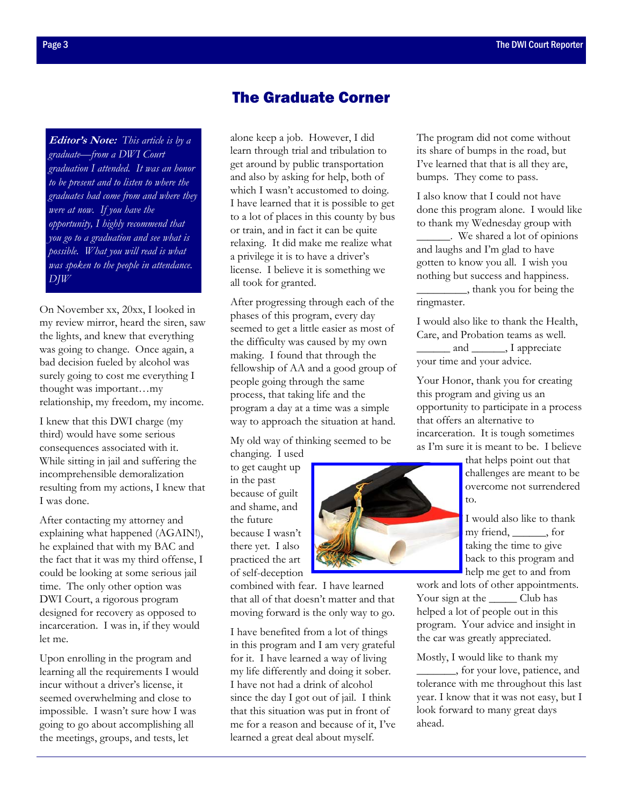<span id="page-2-0"></span>**Editor's Note:** *This article is by a graduate—from a DWI Court graduation I attended. It was an honor to be present and to listen to where the graduates had come from and where they were at now. If you have the opportunity, I highly recommend that you go to a graduation and see what is possible. What you will read is what was spoken to the people in attendance. DJW* 

On November xx, 20xx, I looked in my review mirror, heard the siren, saw the lights, and knew that everything was going to change. Once again, a bad decision fueled by alcohol was surely going to cost me everything I thought was important…my relationship, my freedom, my income.

I knew that this DWI charge (my third) would have some serious consequences associated with it. While sitting in jail and suffering the incomprehensible demoralization resulting from my actions, I knew that I was done.

After contacting my attorney and explaining what happened (AGAIN!), he explained that with my BAC and the fact that it was my third offense, I could be looking at some serious jail time. The only other option was DWI Court, a rigorous program designed for recovery as opposed to incarceration. I was in, if they would let me.

Upon enrolling in the program and learning all the requirements I would incur without a driver's license, it seemed overwhelming and close to impossible. I wasn't sure how I was going to go about accomplishing all the meetings, groups, and tests, let

# The Graduate Corner

alone keep a job. However, I did learn through trial and tribulation to get around by public transportation and also by asking for help, both of which I wasn't accustomed to doing. I have learned that it is possible to get to a lot of places in this county by bus or train, and in fact it can be quite relaxing. It did make me realize what a privilege it is to have a driver's license. I believe it is something we all took for granted.

After progressing through each of the phases of this program, every day seemed to get a little easier as most of the difficulty was caused by my own making. I found that through the fellowship of AA and a good group of people going through the same process, that taking life and the program a day at a time was a simple way to approach the situation at hand.

My old way of thinking seemed to be changing. I used

to get caught up in the past because of guilt and shame, and the future because I wasn't there yet. I also practiced the art of self-deception

combined with fear. I have learned that all of that doesn't matter and that moving forward is the only way to go.

I have benefited from a lot of things in this program and I am very grateful for it. I have learned a way of living my life differently and doing it sober. I have not had a drink of alcohol since the day I got out of jail. I think that this situation was put in front of me for a reason and because of it, I've learned a great deal about myself.

The program did not come without its share of bumps in the road, but I've learned that that is all they are, bumps. They come to pass.

I also know that I could not have done this program alone. I would like to thank my Wednesday group with \_\_\_\_\_\_. We shared a lot of opinions and laughs and I'm glad to have gotten to know you all. I wish you nothing but success and happiness.  $\frac{1}{\sqrt{2}}$ , thank you for being the

ringmaster.

I would also like to thank the Health, Care, and Probation teams as well. \_\_\_\_\_\_ and \_\_\_\_\_\_, I appreciate your time and your advice.

Your Honor, thank you for creating this program and giving us an opportunity to participate in a process that offers an alternative to incarceration. It is tough sometimes as I'm sure it is meant to be. I believe

> that helps point out that challenges are meant to be overcome not surrendered to.

I would also like to thank my friend, \_\_\_\_\_\_, for taking the time to give back to this program and help me get to and from

work and lots of other appointments. Your sign at the \_\_\_\_\_\_\_ Club has helped a lot of people out in this program. Your advice and insight in the car was greatly appreciated.

Mostly, I would like to thank my

\_\_\_\_\_\_\_, for your love, patience, and tolerance with me throughout this last year. I know that it was not easy, but I look forward to many great days ahead.

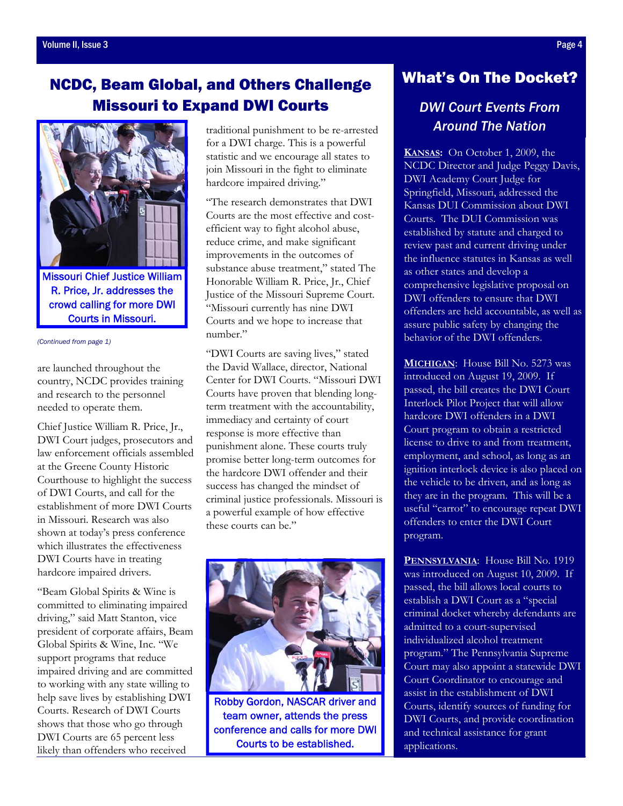# <span id="page-3-0"></span>NCDC, Beam Global, and Others Challenge Missouri to Expand DWI Courts



crowd calling for more DWI Courts in Missouri.

#### *[\(Continued from page 1\)](#page-0-0)*

are launched throughout the country, NCDC provides training and research to the personnel needed to operate them.

Chief Justice William R. Price, Jr., DWI Court judges, prosecutors and law enforcement officials assembled at the Greene County Historic Courthouse to highlight the success of DWI Courts, and call for the establishment of more DWI Courts in Missouri. Research was also shown at today's press conference which illustrates the effectiveness DWI Courts have in treating hardcore impaired drivers.

"Beam Global Spirits & Wine is committed to eliminating impaired driving," said Matt Stanton, vice president of corporate affairs, Beam Global Spirits & Wine, Inc. "We support programs that reduce impaired driving and are committed to working with any state willing to help save lives by establishing DWI Courts. Research of DWI Courts shows that those who go through DWI Courts are 65 percent less likely than offenders who received

traditional punishment to be re-arrested for a DWI charge. This is a powerful statistic and we encourage all states to join Missouri in the fight to eliminate hardcore impaired driving."

"The research demonstrates that DWI Courts are the most effective and costefficient way to fight alcohol abuse, reduce crime, and make significant improvements in the outcomes of substance abuse treatment," stated The Honorable William R. Price, Jr., Chief Justice of the Missouri Supreme Court. "Missouri currently has nine DWI Courts and we hope to increase that number."

"DWI Courts are saving lives," stated the David Wallace, director, National Center for DWI Courts. "Missouri DWI Courts have proven that blending longterm treatment with the accountability, immediacy and certainty of court response is more effective than punishment alone. These courts truly promise better long-term outcomes for the hardcore DWI offender and their success has changed the mindset of criminal justice professionals. Missouri is a powerful example of how effective these courts can be."



Robby Gordon, NASCAR driver and team owner, attends the press conference and calls for more DWI Courts to be established.

# What's On The Docket?

# *DWI Court Events From Around The Nation*

**KANSAS:** On October 1, 2009, the NCDC Director and Judge Peggy Davis, DWI Academy Court Judge for Springfield, Missouri, addressed the Kansas DUI Commission about DWI Courts. The DUI Commission was established by statute and charged to review past and current driving under the influence statutes in Kansas as well as other states and develop a comprehensive legislative proposal on DWI offenders to ensure that DWI offenders are held accountable, as well as assure public safety by changing the behavior of the DWI offenders.

**MICHIGAN**: House Bill No. 5273 was introduced on August 19, 2009. If passed, the bill creates the DWI Court Interlock Pilot Project that will allow hardcore DWI offenders in a DWI Court program to obtain a restricted license to drive to and from treatment, employment, and school, as long as an ignition interlock device is also placed on the vehicle to be driven, and as long as they are in the program. This will be a useful "carrot" to encourage repeat DWI offenders to enter the DWI Court program.

PENNSYLVANIA: House Bill No. 1919 was introduced on August 10, 2009. If passed, the bill allows local courts to establish a DWI Court as a "special criminal docket whereby defendants are admitted to a court-supervised individualized alcohol treatment program." The Pennsylvania Supreme Court may also appoint a statewide DWI Court Coordinator to encourage and assist in the establishment of DWI Courts, identify sources of funding for DWI Courts, and provide coordination and technical assistance for grant applications.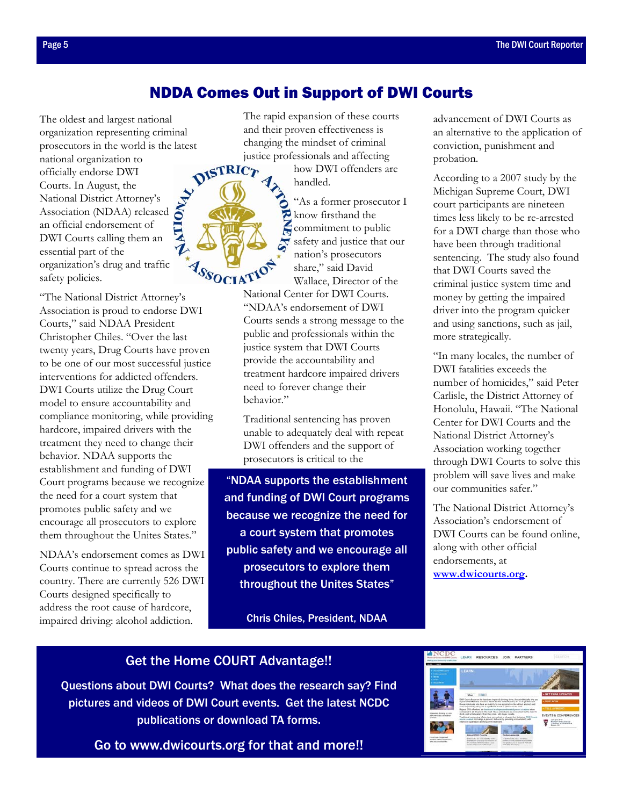## NDDA Comes Out in Support of DWI Courts

<span id="page-4-0"></span>The oldest and largest national organization representing criminal prosecutors in the world is the latest

national organization to officially endorse DWI Courts. In August, the National District Attorney's Association (NDAA) released an official endorsement of DWI Courts calling them an essential part of the organization's drug and traffi[c](http://www.ndaa.org/)  safety policies.

"The National District Attorney's Association is proud to endorse DWI Courts," said NDAA President Christopher Chiles. "Over the last twenty years, Drug Courts have proven to be one of our most successful justice interventions for addicted offenders. DWI Courts utilize the Drug Court model to ensure accountability and compliance monitoring, while providing hardcore, impaired drivers with the treatment they need to change their behavior. NDAA supports the establishment and funding of DWI Court programs because we recognize the need for a court system that promotes public safety and we encourage all prosecutors to explore them throughout the Unites States."

NDAA's endorsement comes as DWI Courts continue to spread across the country. There are currently 526 DWI Courts designed specifically to address the root cause of hardcore, impaired driving: alcohol addiction.

The rapid expansion of these courts changing the mindset of criminal justice professionals and affecting

> how DWI offenders are handled.

and their proven effectiveness is "As a former prosecutor I know firsthand the commitment to public safety and justice that our nation's prosecutors share," said David Wallace, Director of the

> National Center for DWI Courts. "NDAA's endorsement of DWI Courts sends a strong message to the public and professionals within the justice system that DWI Courts provide the accountability and treatment hardcore impaired drivers need to forever change their behavior."

> Traditional sentencing has proven unable to adequately deal with repeat DWI offenders and the support of prosecutors is critical to the

"NDAA supports the establishment and funding of DWI Court programs because we recognize the need for a court system that promotes public safety and we encourage all prosecutors to explore them throughout the Unites States"

Chris Chiles, President, NDAA

advancement of DWI Courts as an alternative to the application of conviction, punishment and probation.

According to a 2007 study by the Michigan Supreme Court, DWI court participants are nineteen times less likely to be re-arrested for a DWI charge than those who have been through traditional sentencing. The study also found that DWI Courts saved the criminal justice system time and money by getting the impaired driver into the program quicker and using sanctions, such as jail, more strategically.

"In many locales, the number of DWI fatalities exceeds the number of homicides," said Peter Carlisle, the District Attorney of Honolulu, Hawaii. "The National Center for DWI Courts and the National District Attorney's Association working together through DWI Courts to solve this problem will save lives and make our communities safer."

The National District Attorney's Association's endorsement of DWI Courts can be found online, along with other official endorsements, at **www.dwicourts.org.**

#### Get the Home COURT Advantage!!

SSOCIAT

Questions about DWI Courts? What does the research say? Find pictures and videos of DWI Court events. Get the latest NCDC publications or download TA forms.

Go to www.dwicourts.org for that and more!!

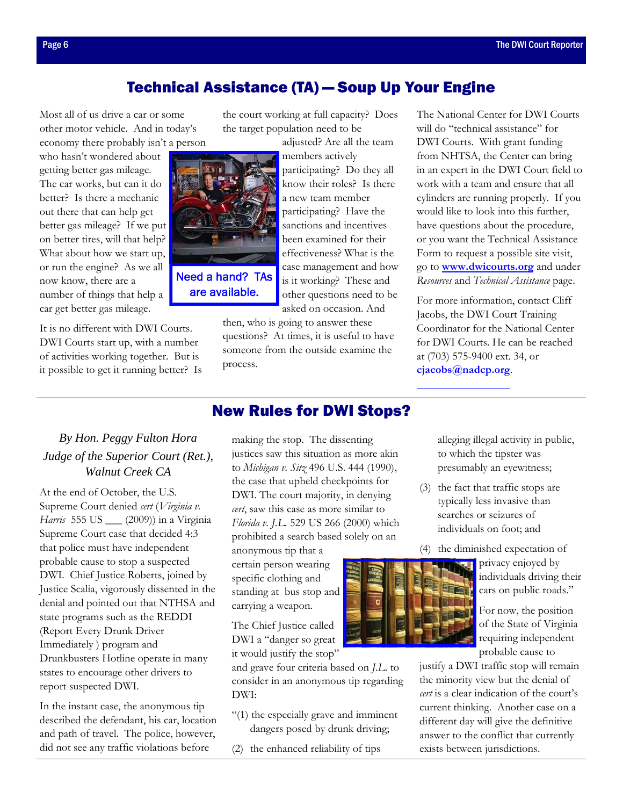## Technical Assistance (TA) — Soup Up Your Engine

<span id="page-5-0"></span>Most all of us drive a car or some other motor vehicle. And in today's economy there probably isn't a person

who hasn't wondered about getting better gas mileage. The car works, but can it do better? Is there a mechanic out there that can help get better gas mileage? If we put on better tires, will that help? What about how we start up, or run the engine? As we all now know, there are a number of things that help a car get better gas mileage.

It is no different with DWI Courts. DWI Courts start up, with a number of activities working together. But is it possible to get it running better? Is the court working at full capacity? Does the target population need to be

> adjusted? Are all the team members actively participating? Do they all know their roles? Is there a new team member participating? Have the sanctions and incentives been examined for their effectiveness? What is the case management and how is it working? These and other questions need to be asked on occasion. And

then, who is going to answer these questions? At times, it is useful to have someone from the outside examine the process.

The National Center for DWI Courts will do "technical assistance" for DWI Courts. With grant funding from NHTSA, the Center can bring in an expert in the DWI Court field to work with a team and ensure that all cylinders are running properly. If you would like to look into this further, have questions about the procedure, or you want the Technical Assistance Form to request a possible site visit, go to **www.dwicourts.org** and under *Resources* and *Technical Assistance* page.

For more information, contact Cliff Jacobs, the DWI Court Training Coordinator for the National Center for DWI Courts. He can be reached at (703) 575-9400 ext. 34, or **cjacobs@nadcp.org**.

# *By Hon. Peggy Fulton Hora Judge of the Superior Court (Ret.), Walnut Creek CA*

At the end of October, the U.S. Supreme Court denied *cert* (*Virginia v. Harris* 555 US \_\_\_ (2009)) in a Virginia Supreme Court case that decided 4:3 that police must have independent probable cause to stop a suspected DWI. Chief Justice Roberts, joined by Justice Scalia, vigorously dissented in the denial and pointed out that NTHSA and state programs such as the REDDI (Report Every Drunk Driver Immediately ) program and Drunkbusters Hotline operate in many states to encourage other drivers to report suspected DWI.

In the instant case, the anonymous tip described the defendant, his car, location and path of travel. The police, however, did not see any traffic violations before

## New Rules for DWI Stops?

making the stop. The dissenting justices saw this situation as more akin to *Michigan v. Sitz* 496 U.S. 444 (1990), the case that upheld checkpoints for DWI. The court majority, in denying *cert*, saw this case as more similar to *Florida v. J.L.* 529 US 266 (2000) which prohibited a search based solely on an

anonymous tip that a certain person wearing specific clothing and standing at bus stop and carrying a weapon.

The Chief Justice called DWI a "danger so great it would justify the stop"

and grave four criteria based on *J.L*. to consider in an anonymous tip regarding DWI:

- "(1) the especially grave and imminent dangers posed by drunk driving;
- (2) the enhanced reliability of tips

alleging illegal activity in public, to which the tipster was presumably an eyewitness;

- (3) the fact that traffic stops are typically less invasive than searches or seizures of individuals on foot; and
- (4) the diminished expectation of

**privacy** enjoyed by individuals driving their cars on public roads."

> For now, the position of the State of Virginia requiring independent probable cause to

justify a DWI traffic stop will remain the minority view but the denial of *cert* is a clear indication of the court's current thinking. Another case on a different day will give the definitive answer to the conflict that currently exists between jurisdictions.



are available.

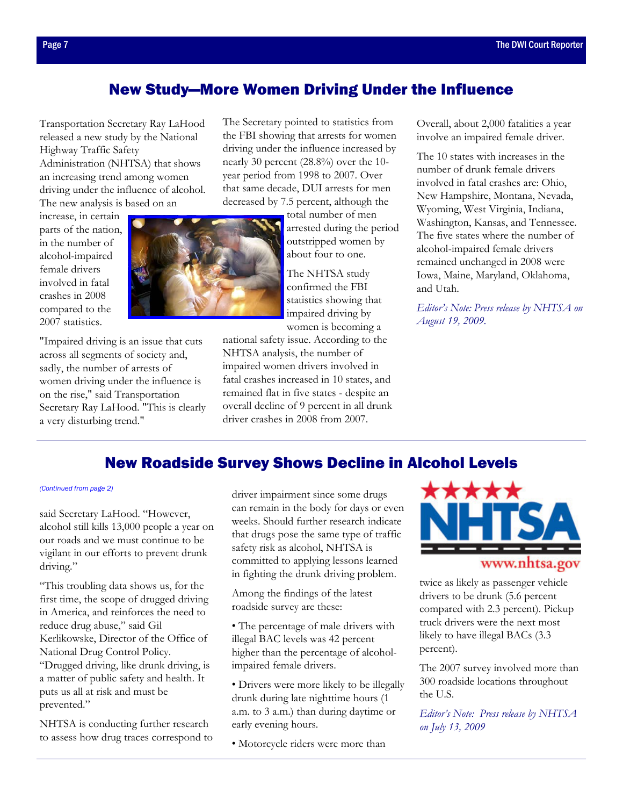## New Study—More Women Driving Under the Influence

<span id="page-6-0"></span>Transportation Secretary Ray LaHood released a new study by the National Highway Traffic Safety

Administration (NHTSA) that shows an increasing trend among women driving under the influence of alcohol. The new analysis is based on an

increase, in certain parts of the nation, in the number of alcohol-impaired female drivers involved in fatal crashes in 2008 compared to the 2007 statistics.

"Impaired driving is an issue that cuts across all segments of society and, sadly, the number of arrests of women driving under the influence is on the rise," said Transportation Secretary Ray LaHood. "This is clearly a very disturbing trend."

The Secretary pointed to statistics from the FBI showing that arrests for women driving under the influence increased by nearly 30 percent (28.8%) over the 10 year period from 1998 to 2007. Over that same decade, DUI arrests for men decreased by 7.5 percent, although the

> total number of men arrested during the period outstripped women by about four to one.

The NHTSA study confirmed the FBI statistics showing that impaired driving by women is becoming a

national safety issue. According to the NHTSA analysis, the number of impaired women drivers involved in fatal crashes increased in 10 states, and remained flat in five states - despite an overall decline of 9 percent in all drunk driver crashes in 2008 from 2007.

Overall, about 2,000 fatalities a year involve an impaired female driver.

The 10 states with increases in the number of drunk female drivers involved in fatal crashes are: Ohio, New Hampshire, Montana, Nevada, Wyoming, West Virginia, Indiana, Washington, Kansas, and Tennessee. The five states where the number of alcohol-impaired female drivers remained unchanged in 2008 were Iowa, Maine, Maryland, Oklahoma, and Utah.

*Editor's Note: Press release by NHTSA on August 19, 2009.* 

# New Roadside Survey Shows Decline in Alcohol Levels

said Secretary LaHood. "However, alcohol still kills 13,000 people a year on our roads and we must continue to be vigilant in our efforts to prevent drunk driving."

"This troubling data shows us, for the first time, the scope of drugged driving in America, and reinforces the need to reduce drug abuse," said Gil Kerlikowske, Director of the Office of National Drug Control Policy. "Drugged driving, like drunk driving, is a matter of public safety and health. It puts us all at risk and must be prevented."

NHTSA is conducting further research to assess how drug traces correspond to

*[\(Continued from page 2\)](#page-1-0)* driver impairment since some drugs can remain in the body for days or even weeks. Should further research indicate that drugs pose the same type of traffic safety risk as alcohol, NHTSA is committed to applying lessons learned in fighting the drunk driving problem.

> Among the findings of the latest roadside survey are these:

• The percentage of male drivers with illegal BAC levels was 42 percent higher than the percentage of alcoholimpaired female drivers.

• Drivers were more likely to be illegally drunk during late nighttime hours (1 a.m. to 3 a.m.) than during daytime or early evening hours.

• Motorcycle riders were more than



www.nhtsa.gov

twice as likely [as passenger vehicle](http://www.nhtsa.gov/)  drivers to be drunk (5.6 percent compared with 2.3 percent). Pickup truck drivers were the next most likely to have illegal BACs (3.3 percent).

The 2007 survey involved more than 300 roadside locations throughout the U.S.

*Editor's Note: Press release by NHTSA on July 13, 2009*